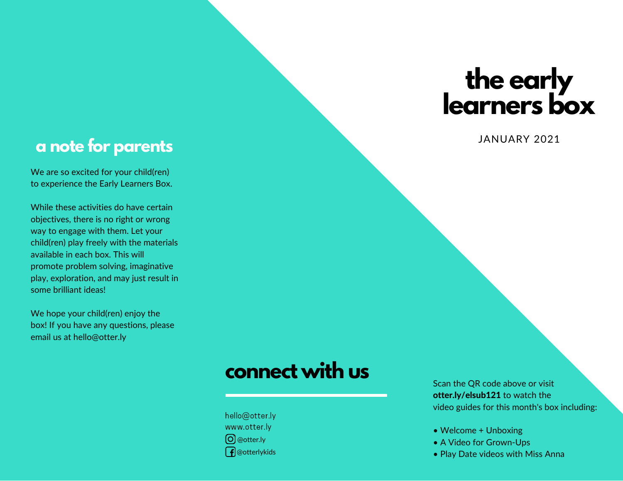# **the early learners box**

#### **a note for parents**

We are so excited for your child(ren) to experience the Early Learners Box.

While these activities do have certain objectives, there is no right or wrong way to engage with them. Let your child(ren) play freely with the materials available in each box. This will promote problem solving, imaginative play, exploration, and may just result in some brilliant ideas!

We hope your child(ren) enjoy the box! If you have any questions, please email us at hello@otter.ly

#### JANUARY 2021

## **connect with us**

hello@otter.ly www.otter.ly @otter.ly  $\int$  @otterlykids Scan the QR code above or visit otter.ly/elsub121 to watch the video guides for this month's box including:

- Welcome + Unboxing
- A Video for Grown-Ups
- Play Date videos with Miss Anna